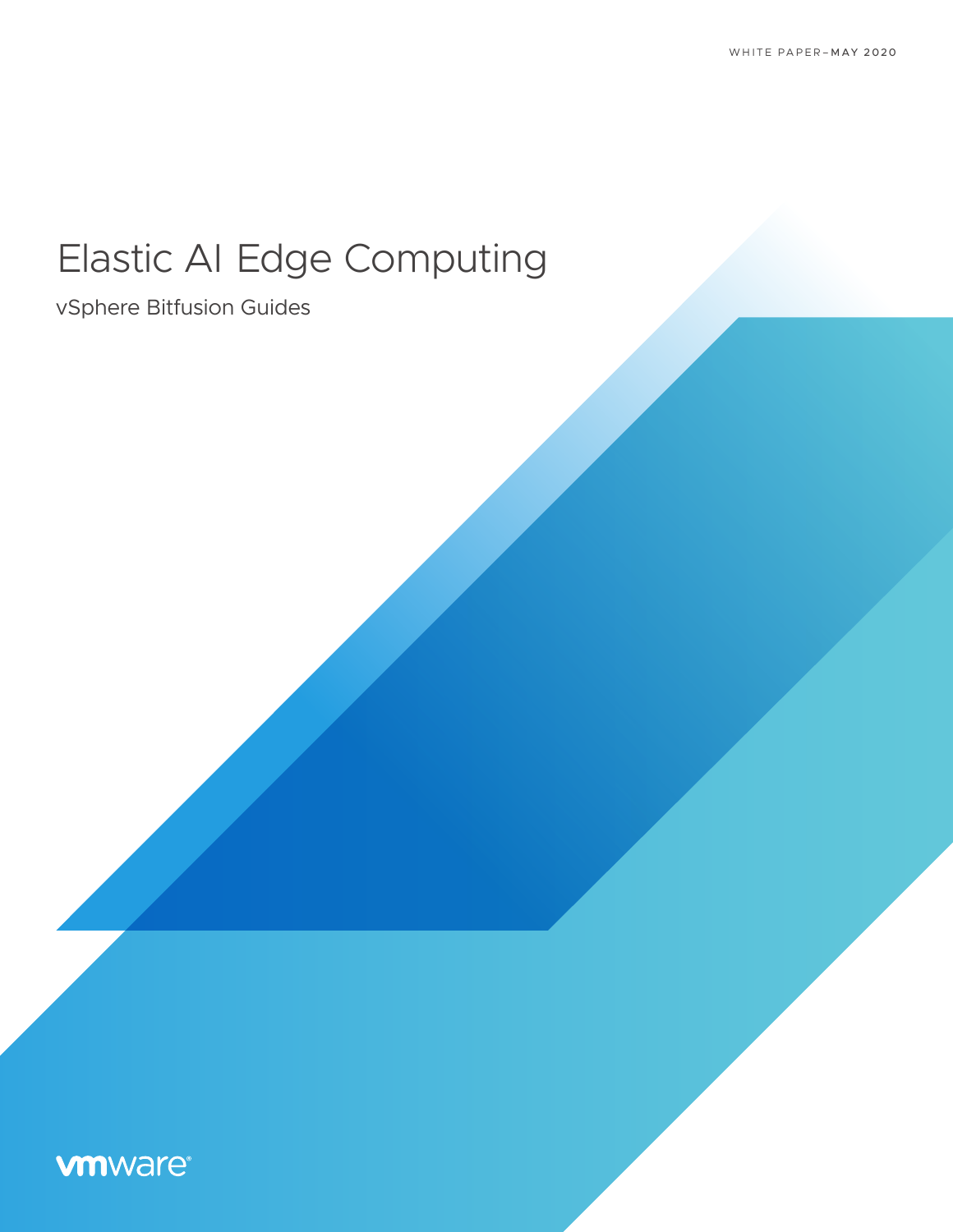# Elastic AI Edge Computing

vSphere Bitfusion Guides

## **vm**ware<sup>®</sup>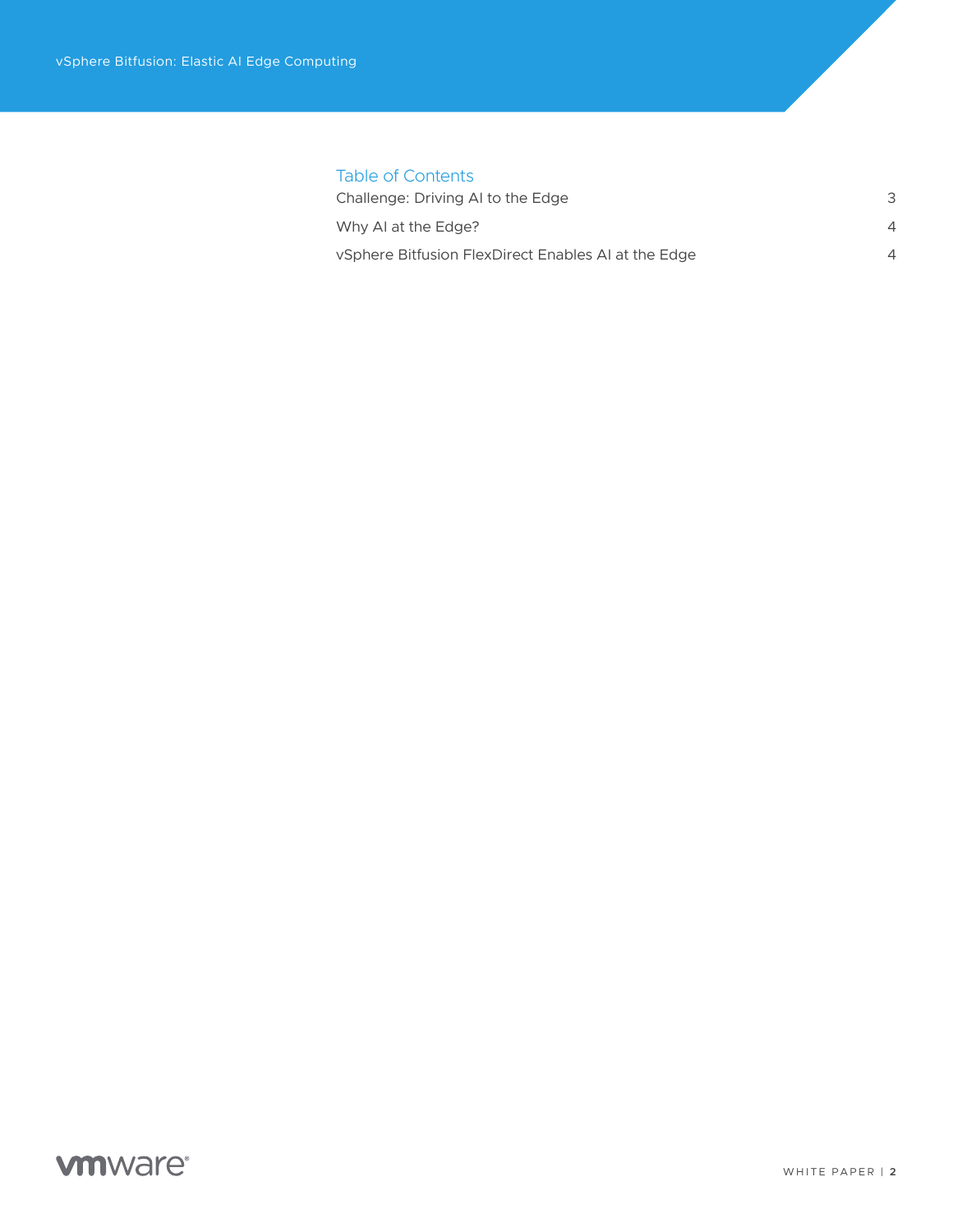| <b>Table of Contents</b>                            |          |
|-----------------------------------------------------|----------|
| Challenge: Driving AI to the Edge                   | 3        |
| Why AI at the Edge?                                 | $\Delta$ |
| vSphere Bitfusion FlexDirect Enables AI at the Edge | ⊿        |
|                                                     |          |

### **vmware**®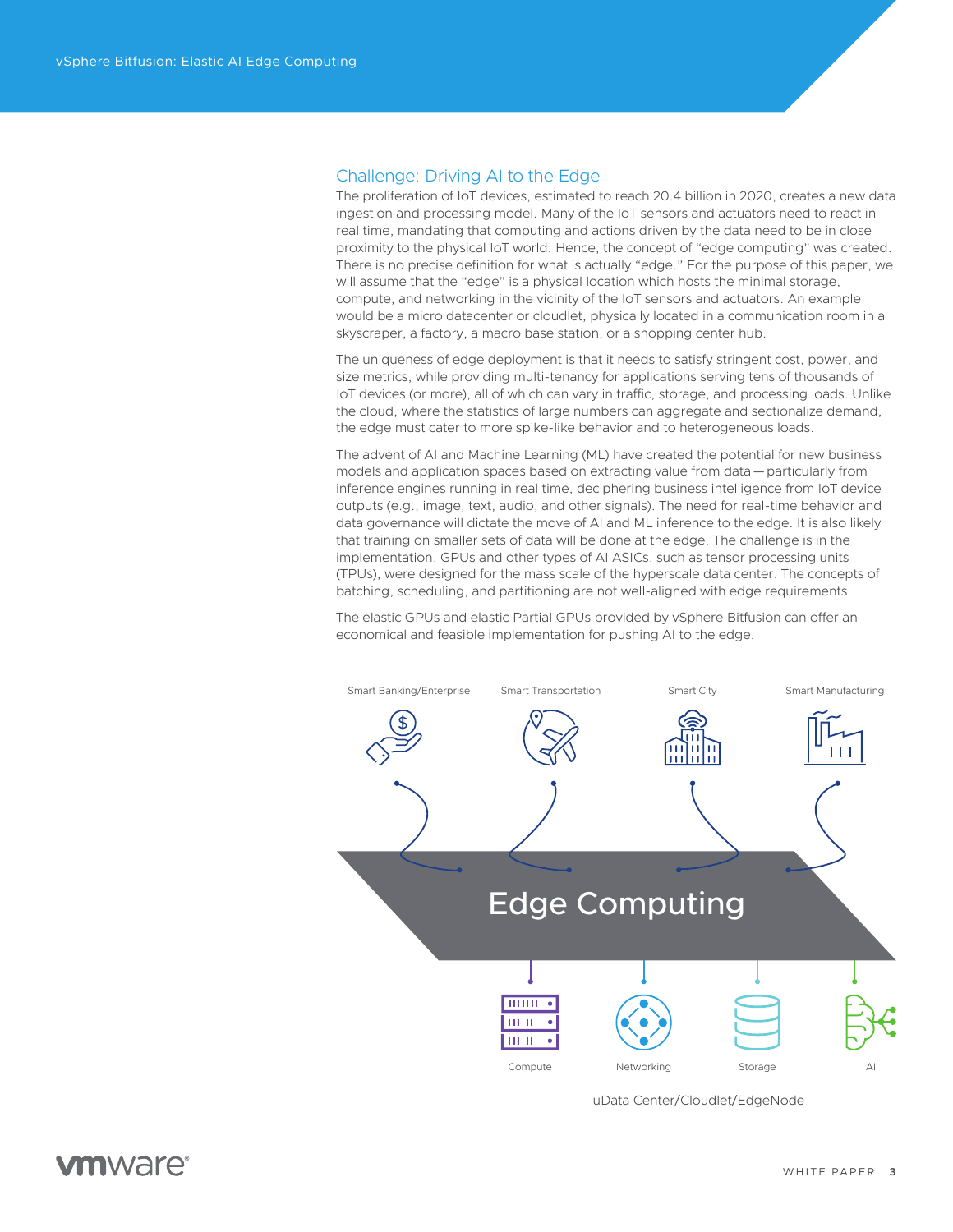#### <span id="page-2-0"></span>Challenge: Driving AI to the Edge

The proliferation of IoT devices, estimated to reach 20.4 billion in 2020, creates a new data ingestion and processing model. Many of the IoT sensors and actuators need to react in real time, mandating that computing and actions driven by the data need to be in close proximity to the physical IoT world. Hence, the concept of "edge computing" was created. There is no precise definition for what is actually "edge." For the purpose of this paper, we will assume that the "edge" is a physical location which hosts the minimal storage, compute, and networking in the vicinity of the IoT sensors and actuators. An example would be a micro datacenter or cloudlet, physically located in a communication room in a skyscraper, a factory, a macro base station, or a shopping center hub.

The uniqueness of edge deployment is that it needs to satisfy stringent cost, power, and size metrics, while providing multi-tenancy for applications serving tens of thousands of IoT devices (or more), all of which can vary in traffic, storage, and processing loads. Unlike the cloud, where the statistics of large numbers can aggregate and sectionalize demand, the edge must cater to more spike-like behavior and to heterogeneous loads.

The advent of AI and Machine Learning (ML) have created the potential for new business models and application spaces based on extracting value from data—particularly from inference engines running in real time, deciphering business intelligence from IoT device outputs (e.g., image, text, audio, and other signals). The need for real-time behavior and data governance will dictate the move of AI and ML inference to the edge. It is also likely that training on smaller sets of data will be done at the edge. The challenge is in the implementation. GPUs and other types of AI ASICs, such as tensor processing units (TPUs), were designed for the mass scale of the hyperscale data center. The concepts of batching, scheduling, and partitioning are not well-aligned with edge requirements.

The elastic GPUs and elastic Partial GPUs provided by vSphere Bitfusion can offer an economical and feasible implementation for pushing AI to the edge.



uData Center/Cloudlet/EdgeNode

### *mware*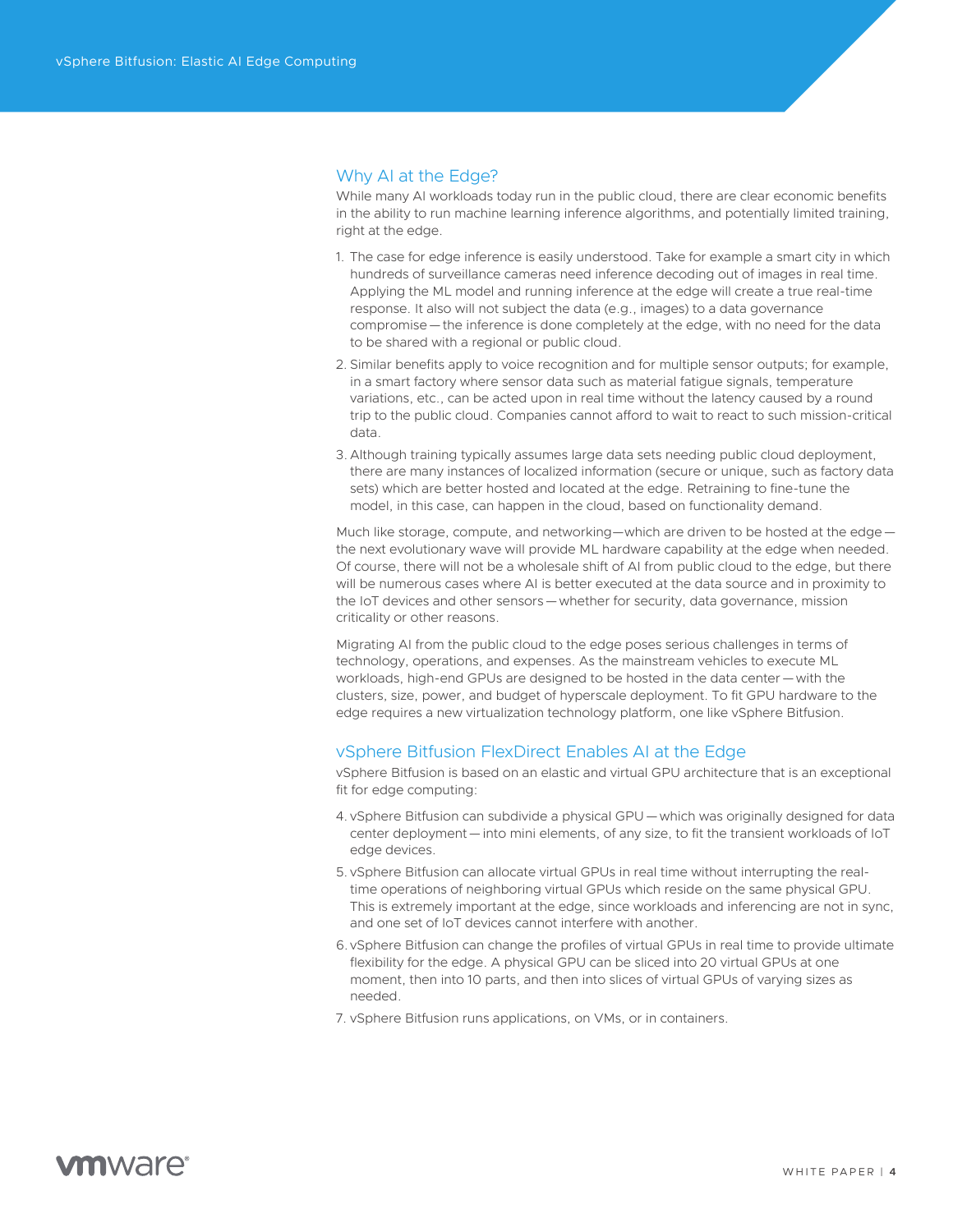#### <span id="page-3-0"></span>Why AI at the Edge?

While many AI workloads today run in the public cloud, there are clear economic benefits in the ability to run machine learning inference algorithms, and potentially limited training, right at the edge.

- 1. The case for edge inference is easily understood. Take for example a smart city in which hundreds of surveillance cameras need inference decoding out of images in real time. Applying the ML model and running inference at the edge will create a true real-time response. It also will not subject the data (e.g., images) to a data governance compromise—the inference is done completely at the edge, with no need for the data to be shared with a regional or public cloud.
- 2. Similar benefits apply to voice recognition and for multiple sensor outputs; for example, in a smart factory where sensor data such as material fatigue signals, temperature variations, etc., can be acted upon in real time without the latency caused by a round trip to the public cloud. Companies cannot afford to wait to react to such mission-critical data.
- 3. Although training typically assumes large data sets needing public cloud deployment, there are many instances of localized information (secure or unique, such as factory data sets) which are better hosted and located at the edge. Retraining to fine-tune the model, in this case, can happen in the cloud, based on functionality demand.

Much like storage, compute, and networking—which are driven to be hosted at the edge the next evolutionary wave will provide ML hardware capability at the edge when needed. Of course, there will not be a wholesale shift of AI from public cloud to the edge, but there will be numerous cases where AI is better executed at the data source and in proximity to the IoT devices and other sensors—whether for security, data governance, mission criticality or other reasons.

Migrating AI from the public cloud to the edge poses serious challenges in terms of technology, operations, and expenses. As the mainstream vehicles to execute ML workloads, high-end GPUs are designed to be hosted in the data center—with the clusters, size, power, and budget of hyperscale deployment. To fit GPU hardware to the edge requires a new virtualization technology platform, one like vSphere Bitfusion.

#### vSphere Bitfusion FlexDirect Enables AI at the Edge

vSphere Bitfusion is based on an elastic and virtual GPU architecture that is an exceptional fit for edge computing:

- 4. vSphere Bitfusion can subdivide a physical GPU—which was originally designed for data center deployment—into mini elements, of any size, to fit the transient workloads of IoT edge devices.
- 5. vSphere Bitfusion can allocate virtual GPUs in real time without interrupting the realtime operations of neighboring virtual GPUs which reside on the same physical GPU. This is extremely important at the edge, since workloads and inferencing are not in sync, and one set of IoT devices cannot interfere with another.
- 6. vSphere Bitfusion can change the profiles of virtual GPUs in real time to provide ultimate flexibility for the edge. A physical GPU can be sliced into 20 virtual GPUs at one moment, then into 10 parts, and then into slices of virtual GPUs of varying sizes as needed.
- 7. vSphere Bitfusion runs applications, on VMs, or in containers.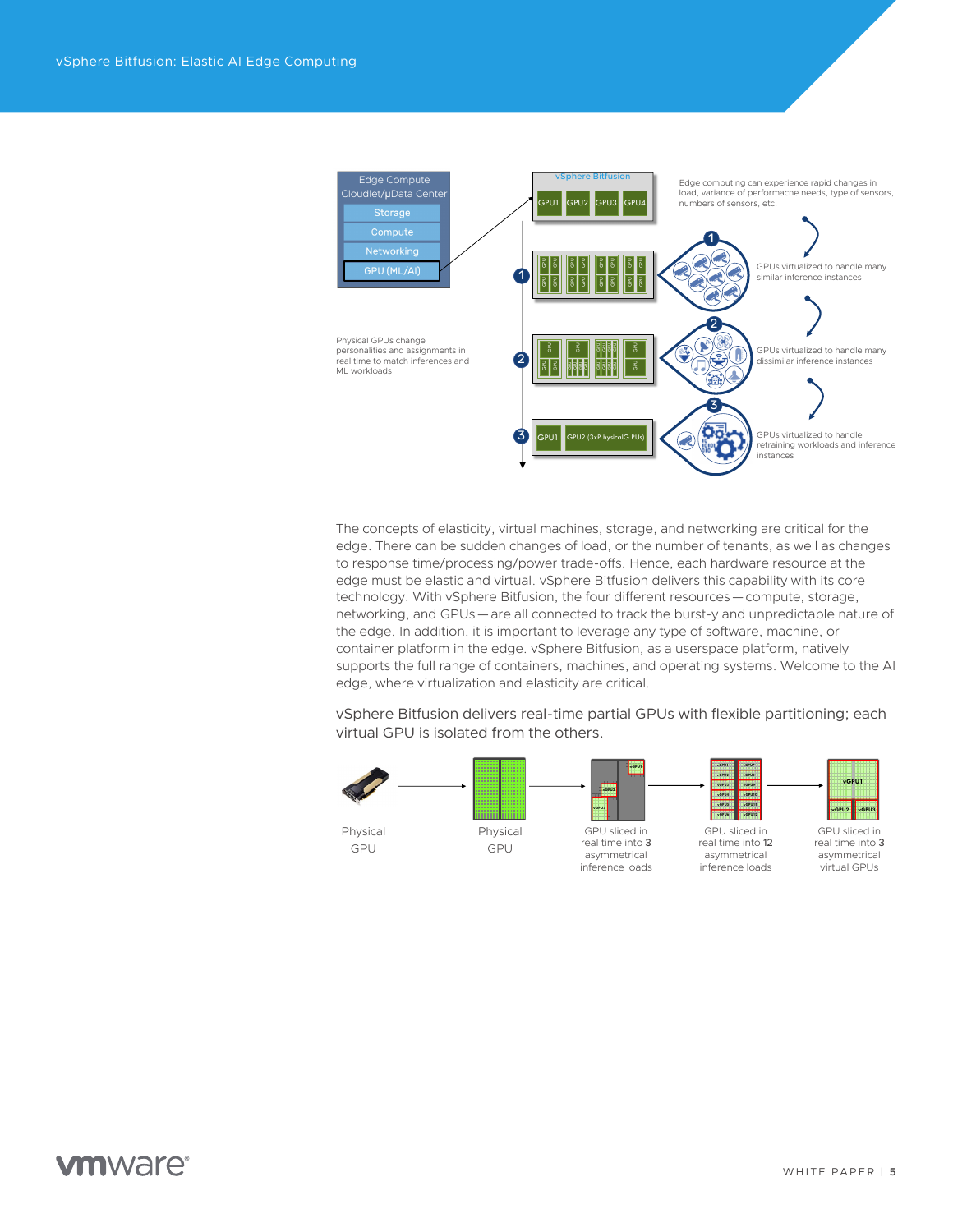

The concepts of elasticity, virtual machines, storage, and networking are critical for the edge. There can be sudden changes of load, or the number of tenants, as well as changes to response time/processing/power trade-offs. Hence, each hardware resource at the edge must be elastic and virtual. vSphere Bitfusion delivers this capability with its core technology. With vSphere Bitfusion, the four different resources—compute, storage, networking, and GPUs—are all connected to track the burst-y and unpredictable nature of the edge. In addition, it is important to leverage any type of software, machine, or container platform in the edge. vSphere Bitfusion, as a userspace platform, natively supports the full range of containers, machines, and operating systems. Welcome to the AI edge, where virtualization and elasticity are critical.

vSphere Bitfusion delivers real-time partial GPUs with flexible partitioning; each virtual GPU is isolated from the others.



### **vm**ware<sup>®</sup>